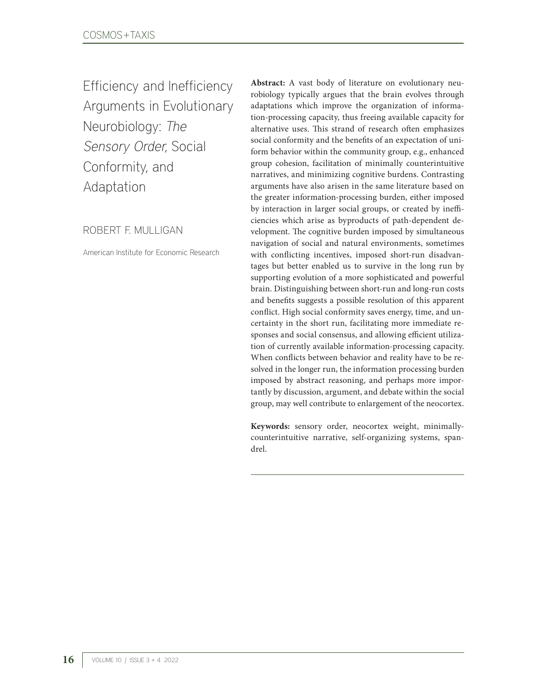Efficiency and Inefficiency Arguments in Evolutionary Neurobiology: The Sensory Order, Social Conformity, and Adaptation

ROBERT F. MULLIGAN

American Institute for Economic Research

**Abstract:** A vast body of literature on evolutionary neurobiology typically argues that the brain evolves through adaptations which improve the organization of information-processing capacity, thus freeing available capacity for alternative uses. This strand of research often emphasizes social conformity and the benefits of an expectation of uniform behavior within the community group, e.g., enhanced group cohesion, facilitation of minimally counterintuitive narratives, and minimizing cognitive burdens. Contrasting arguments have also arisen in the same literature based on the greater information-processing burden, either imposed by interaction in larger social groups, or created by inefficiencies which arise as byproducts of path-dependent development. The cognitive burden imposed by simultaneous navigation of social and natural environments, sometimes with conflicting incentives, imposed short-run disadvantages but better enabled us to survive in the long run by supporting evolution of a more sophisticated and powerful brain. Distinguishing between short-run and long-run costs and benefits suggests a possible resolution of this apparent conflict. High social conformity saves energy, time, and uncertainty in the short run, facilitating more immediate responses and social consensus, and allowing efficient utilization of currently available information-processing capacity. When conflicts between behavior and reality have to be resolved in the longer run, the information processing burden imposed by abstract reasoning, and perhaps more importantly by discussion, argument, and debate within the social group, may well contribute to enlargement of the neocortex.

**Keywords:** sensory order, neocortex weight, minimallycounterintuitive narrative, self-organizing systems, spandrel.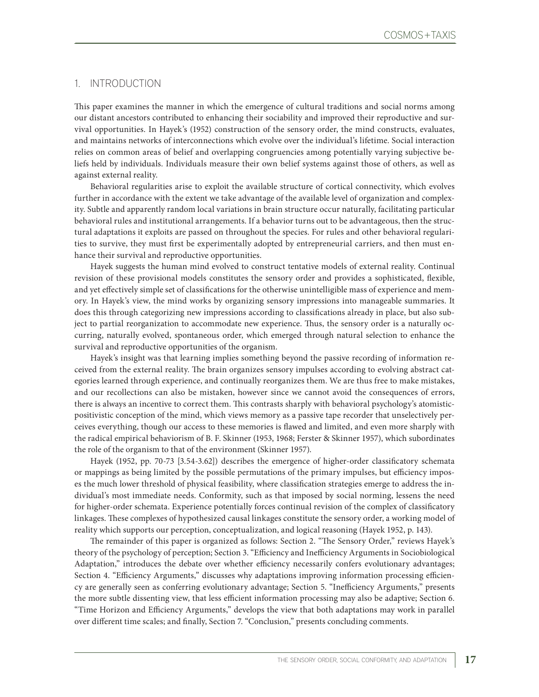## 1. INTRODUCTION

This paper examines the manner in which the emergence of cultural traditions and social norms among our distant ancestors contributed to enhancing their sociability and improved their reproductive and survival opportunities. In Hayek's (1952) construction of the sensory order, the mind constructs, evaluates, and maintains networks of interconnections which evolve over the individual's lifetime. Social interaction relies on common areas of belief and overlapping congruencies among potentially varying subjective beliefs held by individuals. Individuals measure their own belief systems against those of others, as well as against external reality.

Behavioral regularities arise to exploit the available structure of cortical connectivity, which evolves further in accordance with the extent we take advantage of the available level of organization and complexity. Subtle and apparently random local variations in brain structure occur naturally, facilitating particular behavioral rules and institutional arrangements. If a behavior turns out to be advantageous, then the structural adaptations it exploits are passed on throughout the species. For rules and other behavioral regularities to survive, they must first be experimentally adopted by entrepreneurial carriers, and then must enhance their survival and reproductive opportunities.

Hayek suggests the human mind evolved to construct tentative models of external reality. Continual revision of these provisional models constitutes the sensory order and provides a sophisticated, flexible, and yet effectively simple set of classifications for the otherwise unintelligible mass of experience and memory. In Hayek's view, the mind works by organizing sensory impressions into manageable summaries. It does this through categorizing new impressions according to classifications already in place, but also subject to partial reorganization to accommodate new experience. Thus, the sensory order is a naturally occurring, naturally evolved, spontaneous order, which emerged through natural selection to enhance the survival and reproductive opportunities of the organism.

Hayek's insight was that learning implies something beyond the passive recording of information received from the external reality. The brain organizes sensory impulses according to evolving abstract categories learned through experience, and continually reorganizes them. We are thus free to make mistakes, and our recollections can also be mistaken, however since we cannot avoid the consequences of errors, there is always an incentive to correct them. This contrasts sharply with behavioral psychology's atomisticpositivistic conception of the mind, which views memory as a passive tape recorder that unselectively perceives everything, though our access to these memories is flawed and limited, and even more sharply with the radical empirical behaviorism of B. F. Skinner (1953, 1968; Ferster & Skinner 1957), which subordinates the role of the organism to that of the environment (Skinner 1957).

Hayek (1952, pp. 70-73 [3.54-3.62]) describes the emergence of higher-order classificatory schemata or mappings as being limited by the possible permutations of the primary impulses, but efficiency imposes the much lower threshold of physical feasibility, where classification strategies emerge to address the individual's most immediate needs. Conformity, such as that imposed by social norming, lessens the need for higher-order schemata. Experience potentially forces continual revision of the complex of classificatory linkages. These complexes of hypothesized causal linkages constitute the sensory order, a working model of reality which supports our perception, conceptualization, and logical reasoning (Hayek 1952, p. 143).

The remainder of this paper is organized as follows: Section 2. "The Sensory Order," reviews Hayek's theory of the psychology of perception; Section 3. "Efficiency and Inefficiency Arguments in Sociobiological Adaptation," introduces the debate over whether efficiency necessarily confers evolutionary advantages; Section 4. "Efficiency Arguments," discusses why adaptations improving information processing efficiency are generally seen as conferring evolutionary advantage; Section 5. "Inefficiency Arguments," presents the more subtle dissenting view, that less efficient information processing may also be adaptive; Section 6. "Time Horizon and Efficiency Arguments," develops the view that both adaptations may work in parallel over different time scales; and finally, Section 7. "Conclusion," presents concluding comments.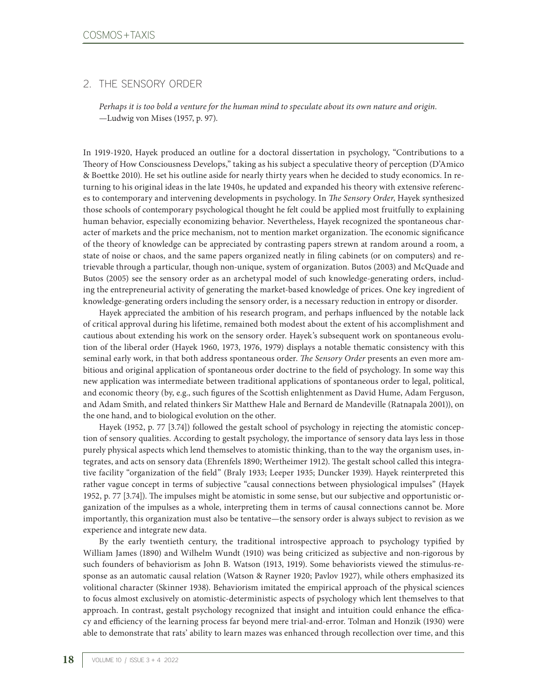# 2. THE SENSORY ORDER

*Perhaps it is too bold a venture for the human mind to speculate about its own nature and origin.* —Ludwig von Mises (1957, p. 97).

In 1919-1920, Hayek produced an outline for a doctoral dissertation in psychology, "Contributions to a Theory of How Consciousness Develops," taking as his subject a speculative theory of perception (D'Amico & Boettke 2010). He set his outline aside for nearly thirty years when he decided to study economics. In returning to his original ideas in the late 1940s, he updated and expanded his theory with extensive references to contemporary and intervening developments in psychology. In *The Sensory Order*, Hayek synthesized those schools of contemporary psychological thought he felt could be applied most fruitfully to explaining human behavior, especially economizing behavior. Nevertheless, Hayek recognized the spontaneous character of markets and the price mechanism, not to mention market organization. The economic significance of the theory of knowledge can be appreciated by contrasting papers strewn at random around a room, a state of noise or chaos, and the same papers organized neatly in filing cabinets (or on computers) and retrievable through a particular, though non-unique, system of organization. Butos (2003) and McQuade and Butos (2005) see the sensory order as an archetypal model of such knowledge-generating orders, including the entrepreneurial activity of generating the market-based knowledge of prices. One key ingredient of knowledge-generating orders including the sensory order, is a necessary reduction in entropy or disorder.

Hayek appreciated the ambition of his research program, and perhaps influenced by the notable lack of critical approval during his lifetime, remained both modest about the extent of his accomplishment and cautious about extending his work on the sensory order. Hayek's subsequent work on spontaneous evolution of the liberal order (Hayek 1960, 1973, 1976, 1979) displays a notable thematic consistency with this seminal early work, in that both address spontaneous order. *The Sensory Order* presents an even more ambitious and original application of spontaneous order doctrine to the field of psychology. In some way this new application was intermediate between traditional applications of spontaneous order to legal, political, and economic theory (by, e.g., such figures of the Scottish enlightenment as David Hume, Adam Ferguson, and Adam Smith, and related thinkers Sir Matthew Hale and Bernard de Mandeville (Ratnapala 2001)), on the one hand, and to biological evolution on the other.

Hayek (1952, p. 77 [3.74]) followed the gestalt school of psychology in rejecting the atomistic conception of sensory qualities. According to gestalt psychology, the importance of sensory data lays less in those purely physical aspects which lend themselves to atomistic thinking, than to the way the organism uses, integrates, and acts on sensory data (Ehrenfels 1890; Wertheimer 1912). The gestalt school called this integrative facility "organization of the field" (Braly 1933; Leeper 1935; Duncker 1939). Hayek reinterpreted this rather vague concept in terms of subjective "causal connections between physiological impulses" (Hayek 1952, p. 77 [3.74]). The impulses might be atomistic in some sense, but our subjective and opportunistic organization of the impulses as a whole, interpreting them in terms of causal connections cannot be. More importantly, this organization must also be tentative—the sensory order is always subject to revision as we experience and integrate new data.

By the early twentieth century, the traditional introspective approach to psychology typified by William James (1890) and Wilhelm Wundt (1910) was being criticized as subjective and non-rigorous by such founders of behaviorism as John B. Watson (1913, 1919). Some behaviorists viewed the stimulus-response as an automatic causal relation (Watson & Rayner 1920; Pavlov 1927), while others emphasized its volitional character (Skinner 1938). Behaviorism imitated the empirical approach of the physical sciences to focus almost exclusively on atomistic-deterministic aspects of psychology which lent themselves to that approach. In contrast, gestalt psychology recognized that insight and intuition could enhance the efficacy and efficiency of the learning process far beyond mere trial-and-error. Tolman and Honzik (1930) were able to demonstrate that rats' ability to learn mazes was enhanced through recollection over time, and this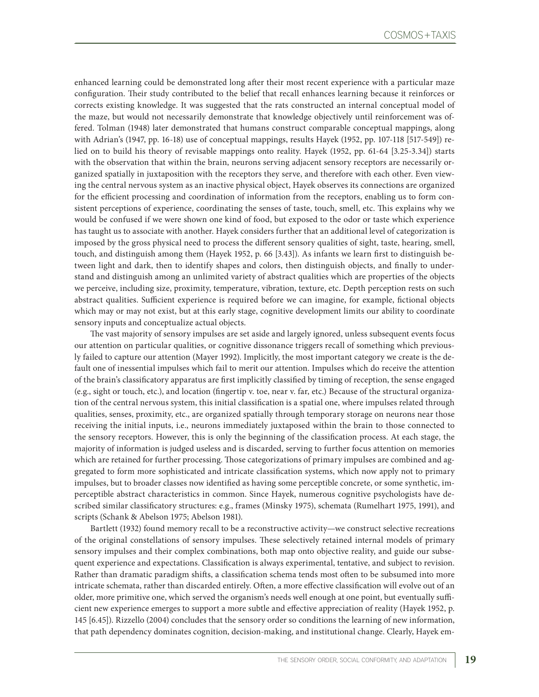enhanced learning could be demonstrated long after their most recent experience with a particular maze configuration. Their study contributed to the belief that recall enhances learning because it reinforces or corrects existing knowledge. It was suggested that the rats constructed an internal conceptual model of the maze, but would not necessarily demonstrate that knowledge objectively until reinforcement was offered. Tolman (1948) later demonstrated that humans construct comparable conceptual mappings, along with Adrian's (1947, pp. 16-18) use of conceptual mappings, results Hayek (1952, pp. 107-118 [517-549]) relied on to build his theory of revisable mappings onto reality. Hayek (1952, pp. 61-64 [3.25-3.34]) starts with the observation that within the brain, neurons serving adjacent sensory receptors are necessarily organized spatially in juxtaposition with the receptors they serve, and therefore with each other. Even viewing the central nervous system as an inactive physical object, Hayek observes its connections are organized for the efficient processing and coordination of information from the receptors, enabling us to form consistent perceptions of experience, coordinating the senses of taste, touch, smell, etc. This explains why we would be confused if we were shown one kind of food, but exposed to the odor or taste which experience has taught us to associate with another. Hayek considers further that an additional level of categorization is imposed by the gross physical need to process the different sensory qualities of sight, taste, hearing, smell, touch, and distinguish among them (Hayek 1952, p. 66 [3.43]). As infants we learn first to distinguish between light and dark, then to identify shapes and colors, then distinguish objects, and finally to understand and distinguish among an unlimited variety of abstract qualities which are properties of the objects we perceive, including size, proximity, temperature, vibration, texture, etc. Depth perception rests on such abstract qualities. Sufficient experience is required before we can imagine, for example, fictional objects which may or may not exist, but at this early stage, cognitive development limits our ability to coordinate sensory inputs and conceptualize actual objects.

The vast majority of sensory impulses are set aside and largely ignored, unless subsequent events focus our attention on particular qualities, or cognitive dissonance triggers recall of something which previously failed to capture our attention (Mayer 1992). Implicitly, the most important category we create is the default one of inessential impulses which fail to merit our attention. Impulses which do receive the attention of the brain's classificatory apparatus are first implicitly classified by timing of reception, the sense engaged (e.g., sight or touch, etc.), and location (fingertip v. toe, near v. far, etc.) Because of the structural organization of the central nervous system, this initial classification is a spatial one, where impulses related through qualities, senses, proximity, etc., are organized spatially through temporary storage on neurons near those receiving the initial inputs, i.e., neurons immediately juxtaposed within the brain to those connected to the sensory receptors. However, this is only the beginning of the classification process. At each stage, the majority of information is judged useless and is discarded, serving to further focus attention on memories which are retained for further processing. Those categorizations of primary impulses are combined and aggregated to form more sophisticated and intricate classification systems, which now apply not to primary impulses, but to broader classes now identified as having some perceptible concrete, or some synthetic, imperceptible abstract characteristics in common. Since Hayek, numerous cognitive psychologists have described similar classificatory structures: e.g., frames (Minsky 1975), schemata (Rumelhart 1975, 1991), and scripts (Schank & Abelson 1975; Abelson 1981).

Bartlett (1932) found memory recall to be a reconstructive activity—we construct selective recreations of the original constellations of sensory impulses. These selectively retained internal models of primary sensory impulses and their complex combinations, both map onto objective reality, and guide our subsequent experience and expectations. Classification is always experimental, tentative, and subject to revision. Rather than dramatic paradigm shifts, a classification schema tends most often to be subsumed into more intricate schemata, rather than discarded entirely. Often, a more effective classification will evolve out of an older, more primitive one, which served the organism's needs well enough at one point, but eventually sufficient new experience emerges to support a more subtle and effective appreciation of reality (Hayek 1952, p. 145 [6.45]). Rizzello (2004) concludes that the sensory order so conditions the learning of new information, that path dependency dominates cognition, decision-making, and institutional change. Clearly, Hayek em-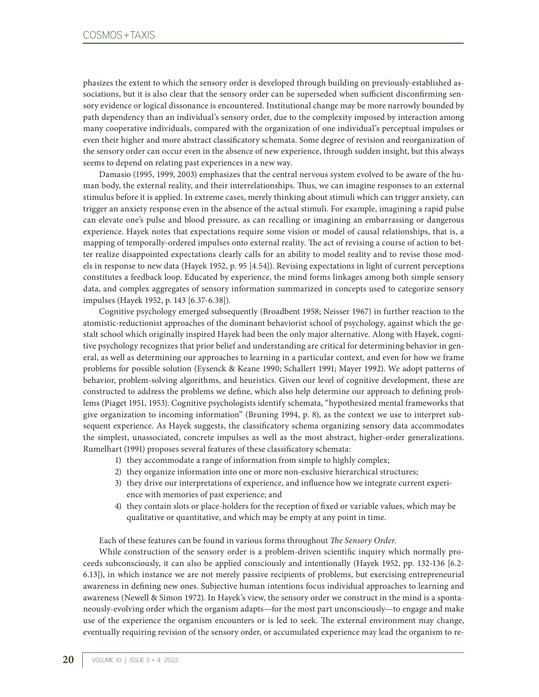phasizes the extent to which the sensory order is developed through building on previously-established associations, but it is also clear that the sensory order can be superseded when sufficient disconfirming sensory evidence or logical dissonance is encountered. Institutional change may be more narrowly bounded by path dependency than an individual's sensory order, due to the complexity imposed by interaction among many cooperative individuals, compared with the organization of one individual's perceptual impulses or even their higher and more abstract classificatory schemata. Some degree of revision and reorganization of the sensory order can occur even in the absence of new experience, through sudden insight, but this always seems to depend on relating past experiences in a new way.

Damasio (1995, 1999, 2003) emphasizes that the central nervous system evolved to be aware of the human body, the external reality, and their interrelationships. Thus, we can imagine responses to an external stimulus before it is applied. In extreme cases, merely thinking about stimuli which can trigger anxiety, can trigger an anxiety response even in the absence of the actual stimuli. For example, imagining a rapid pulse can elevate one's pulse and blood pressure, as can recalling or imagining an embarrassing or dangerous experience. Hayek notes that expectations require some vision or model of causal relationships, that is, a mapping of temporally-ordered impulses onto external reality. The act of revising a course of action to better realize disappointed expectations clearly calls for an ability to model reality and to revise those models in response to new data (Hayek 1952, p. 95 [4.54]). Revising expectations in light of current perceptions constitutes a feedback loop. Educated by experience, the mind forms linkages among both simple sensory data, and complex aggregates of sensory information summarized in concepts used to categorize sensory impulses (Hayek 1952, p. 143 [6.37-6.38]).

Cognitive psychology emerged subsequently (Broadbent 1958; Neisser 1967) in further reaction to the atomistic-reductionist approaches of the dominant behaviorist school of psychology, against which the gestalt school which originally inspired Hayek had been the only major alternative. Along with Hayek, cognitive psychology recognizes that prior belief and understanding are critical for determining behavior in general, as well as determining our approaches to learning in a particular context, and even for how we frame problems for possible solution (Eysenck & Keane 1990; Schallert 1991; Mayer 1992). We adopt patterns of behavior, problem-solving algorithms, and heuristics. Given our level of cognitive development, these are constructed to address the problems we define, which also help determine our approach to defining problems (Piaget 1951, 1953). Cognitive psychologists identify schemata, "hypothesized mental frameworks that give organization to incoming information" (Bruning 1994, p. 8), as the context we use to interpret subsequent experience. As Hayek suggests, the classificatory schema organizing sensory data accommodates the simplest, unassociated, concrete impulses as well as the most abstract, higher-order generalizations. Rumelhart (1991) proposes several features of these classificatory schemata:

- 1) they accommodate a range of information from simple to highly complex;
- 2) they organize information into one or more non-exclusive hierarchical structures;
- 3) they drive our interpretations of experience, and influence how we integrate current experience with memories of past experience; and
- 4) they contain slots or place-holders for the reception of fixed or variable values, which may be qualitative or quantitative, and which may be empty at any point in time.

Each of these features can be found in various forms throughout *The Sensory Order*.

While construction of the sensory order is a problem-driven scientific inquiry which normally proceeds subconsciously, it can also be applied consciously and intentionally (Hayek 1952, pp. 132-136 [6.2- 6.13]), in which instance we are not merely passive recipients of problems, but exercising entrepreneurial awareness in defining new ones. Subjective human intentions focus individual approaches to learning and awareness (Newell & Simon 1972). In Hayek's view, the sensory order we construct in the mind is a spontaneously-evolving order which the organism adapts—for the most part unconsciously—to engage and make use of the experience the organism encounters or is led to seek. The external environment may change, eventually requiring revision of the sensory order, or accumulated experience may lead the organism to re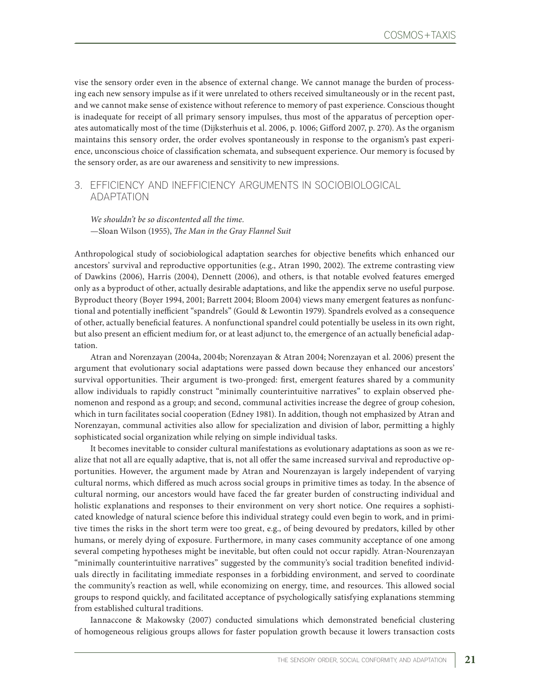vise the sensory order even in the absence of external change. We cannot manage the burden of processing each new sensory impulse as if it were unrelated to others received simultaneously or in the recent past, and we cannot make sense of existence without reference to memory of past experience. Conscious thought is inadequate for receipt of all primary sensory impulses, thus most of the apparatus of perception operates automatically most of the time (Dijksterhuis et al. 2006, p. 1006; Gifford 2007, p. 270). As the organism maintains this sensory order, the order evolves spontaneously in response to the organism's past experience, unconscious choice of classification schemata, and subsequent experience. Our memory is focused by the sensory order, as are our awareness and sensitivity to new impressions.

## 3. EFFICIENCY AND INEFFICIENCY ARGUMENTS IN SOCIOBIOLOGICAL ADAPTATION

*We shouldn't be so discontented all the time.* —Sloan Wilson (1955), *The Man in the Gray Flannel Suit*

Anthropological study of sociobiological adaptation searches for objective benefits which enhanced our ancestors' survival and reproductive opportunities (e.g., Atran 1990, 2002). The extreme contrasting view of Dawkins (2006), Harris (2004), Dennett (2006), and others, is that notable evolved features emerged only as a byproduct of other, actually desirable adaptations, and like the appendix serve no useful purpose. Byproduct theory (Boyer 1994, 2001; Barrett 2004; Bloom 2004) views many emergent features as nonfunctional and potentially inefficient "spandrels" (Gould & Lewontin 1979). Spandrels evolved as a consequence of other, actually beneficial features. A nonfunctional spandrel could potentially be useless in its own right, but also present an efficient medium for, or at least adjunct to, the emergence of an actually beneficial adaptation.

Atran and Norenzayan (2004a, 2004b; Norenzayan & Atran 2004; Norenzayan et al. 2006) present the argument that evolutionary social adaptations were passed down because they enhanced our ancestors' survival opportunities. Their argument is two-pronged: first, emergent features shared by a community allow individuals to rapidly construct "minimally counterintuitive narratives" to explain observed phenomenon and respond as a group; and second, communal activities increase the degree of group cohesion, which in turn facilitates social cooperation (Edney 1981). In addition, though not emphasized by Atran and Norenzayan, communal activities also allow for specialization and division of labor, permitting a highly sophisticated social organization while relying on simple individual tasks.

It becomes inevitable to consider cultural manifestations as evolutionary adaptations as soon as we realize that not all are equally adaptive, that is, not all offer the same increased survival and reproductive opportunities. However, the argument made by Atran and Nourenzayan is largely independent of varying cultural norms, which differed as much across social groups in primitive times as today. In the absence of cultural norming, our ancestors would have faced the far greater burden of constructing individual and holistic explanations and responses to their environment on very short notice. One requires a sophisticated knowledge of natural science before this individual strategy could even begin to work, and in primitive times the risks in the short term were too great, e.g., of being devoured by predators, killed by other humans, or merely dying of exposure. Furthermore, in many cases community acceptance of one among several competing hypotheses might be inevitable, but often could not occur rapidly. Atran-Nourenzayan "minimally counterintuitive narratives" suggested by the community's social tradition benefited individuals directly in facilitating immediate responses in a forbidding environment, and served to coordinate the community's reaction as well, while economizing on energy, time, and resources. This allowed social groups to respond quickly, and facilitated acceptance of psychologically satisfying explanations stemming from established cultural traditions.

Iannaccone & Makowsky (2007) conducted simulations which demonstrated beneficial clustering of homogeneous religious groups allows for faster population growth because it lowers transaction costs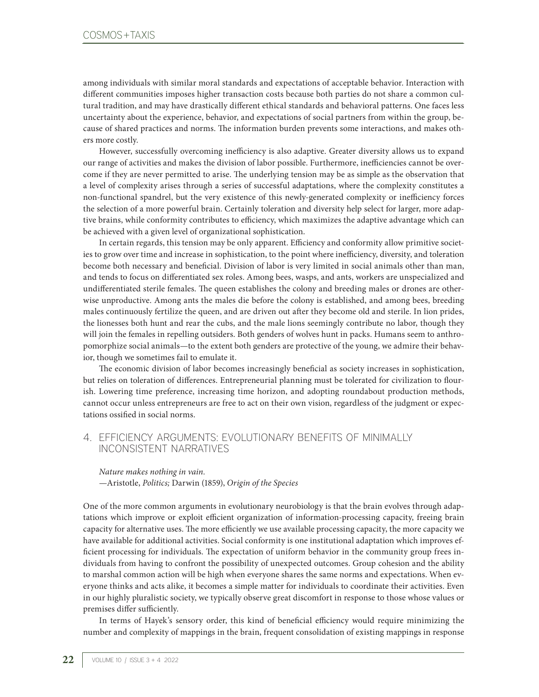among individuals with similar moral standards and expectations of acceptable behavior. Interaction with different communities imposes higher transaction costs because both parties do not share a common cultural tradition, and may have drastically different ethical standards and behavioral patterns. One faces less uncertainty about the experience, behavior, and expectations of social partners from within the group, because of shared practices and norms. The information burden prevents some interactions, and makes others more costly.

However, successfully overcoming inefficiency is also adaptive. Greater diversity allows us to expand our range of activities and makes the division of labor possible. Furthermore, inefficiencies cannot be overcome if they are never permitted to arise. The underlying tension may be as simple as the observation that a level of complexity arises through a series of successful adaptations, where the complexity constitutes a non-functional spandrel, but the very existence of this newly-generated complexity or inefficiency forces the selection of a more powerful brain. Certainly toleration and diversity help select for larger, more adaptive brains, while conformity contributes to efficiency, which maximizes the adaptive advantage which can be achieved with a given level of organizational sophistication.

In certain regards, this tension may be only apparent. Efficiency and conformity allow primitive societies to grow over time and increase in sophistication, to the point where inefficiency, diversity, and toleration become both necessary and beneficial. Division of labor is very limited in social animals other than man, and tends to focus on differentiated sex roles. Among bees, wasps, and ants, workers are unspecialized and undifferentiated sterile females. The queen establishes the colony and breeding males or drones are otherwise unproductive. Among ants the males die before the colony is established, and among bees, breeding males continuously fertilize the queen, and are driven out after they become old and sterile. In lion prides, the lionesses both hunt and rear the cubs, and the male lions seemingly contribute no labor, though they will join the females in repelling outsiders. Both genders of wolves hunt in packs. Humans seem to anthropomorphize social animals—to the extent both genders are protective of the young, we admire their behavior, though we sometimes fail to emulate it.

The economic division of labor becomes increasingly beneficial as society increases in sophistication, but relies on toleration of differences. Entrepreneurial planning must be tolerated for civilization to flourish. Lowering time preference, increasing time horizon, and adopting roundabout production methods, cannot occur unless entrepreneurs are free to act on their own vision, regardless of the judgment or expectations ossified in social norms.

## 4. EFFICIENCY ARGUMENTS: EVOLUTIONARY BENEFITS OF MINIMALLY INCONSISTENT NARRATIVES

*Nature makes nothing in vain.* —Aristotle, *Politics;* Darwin (1859), *Origin of the Species*

One of the more common arguments in evolutionary neurobiology is that the brain evolves through adaptations which improve or exploit efficient organization of information-processing capacity, freeing brain capacity for alternative uses. The more efficiently we use available processing capacity, the more capacity we have available for additional activities. Social conformity is one institutional adaptation which improves efficient processing for individuals. The expectation of uniform behavior in the community group frees individuals from having to confront the possibility of unexpected outcomes. Group cohesion and the ability to marshal common action will be high when everyone shares the same norms and expectations. When everyone thinks and acts alike, it becomes a simple matter for individuals to coordinate their activities. Even in our highly pluralistic society, we typically observe great discomfort in response to those whose values or premises differ sufficiently.

In terms of Hayek's sensory order, this kind of beneficial efficiency would require minimizing the number and complexity of mappings in the brain, frequent consolidation of existing mappings in response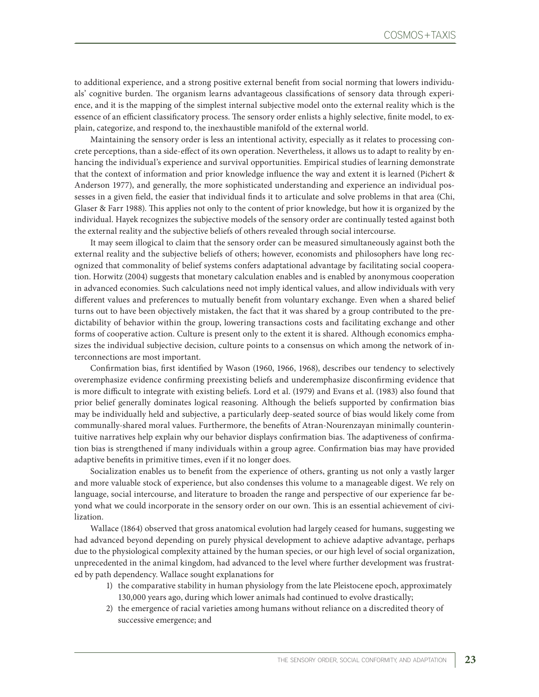to additional experience, and a strong positive external benefit from social norming that lowers individuals' cognitive burden. The organism learns advantageous classifications of sensory data through experience, and it is the mapping of the simplest internal subjective model onto the external reality which is the essence of an efficient classificatory process. The sensory order enlists a highly selective, finite model, to explain, categorize, and respond to, the inexhaustible manifold of the external world.

Maintaining the sensory order is less an intentional activity, especially as it relates to processing concrete perceptions, than a side-effect of its own operation. Nevertheless, it allows us to adapt to reality by enhancing the individual's experience and survival opportunities. Empirical studies of learning demonstrate that the context of information and prior knowledge influence the way and extent it is learned (Pichert & Anderson 1977), and generally, the more sophisticated understanding and experience an individual possesses in a given field, the easier that individual finds it to articulate and solve problems in that area (Chi, Glaser & Farr 1988). This applies not only to the content of prior knowledge, but how it is organized by the individual. Hayek recognizes the subjective models of the sensory order are continually tested against both the external reality and the subjective beliefs of others revealed through social intercourse.

It may seem illogical to claim that the sensory order can be measured simultaneously against both the external reality and the subjective beliefs of others; however, economists and philosophers have long recognized that commonality of belief systems confers adaptational advantage by facilitating social cooperation. Horwitz (2004) suggests that monetary calculation enables and is enabled by anonymous cooperation in advanced economies. Such calculations need not imply identical values, and allow individuals with very different values and preferences to mutually benefit from voluntary exchange. Even when a shared belief turns out to have been objectively mistaken, the fact that it was shared by a group contributed to the predictability of behavior within the group, lowering transactions costs and facilitating exchange and other forms of cooperative action. Culture is present only to the extent it is shared. Although economics emphasizes the individual subjective decision, culture points to a consensus on which among the network of interconnections are most important.

Confirmation bias, first identified by Wason (1960, 1966, 1968), describes our tendency to selectively overemphasize evidence confirming preexisting beliefs and underemphasize disconfirming evidence that is more difficult to integrate with existing beliefs. Lord et al. (1979) and Evans et al. (1983) also found that prior belief generally dominates logical reasoning. Although the beliefs supported by confirmation bias may be individually held and subjective, a particularly deep-seated source of bias would likely come from communally-shared moral values. Furthermore, the benefits of Atran-Nourenzayan minimally counterintuitive narratives help explain why our behavior displays confirmation bias. The adaptiveness of confirmation bias is strengthened if many individuals within a group agree. Confirmation bias may have provided adaptive benefits in primitive times, even if it no longer does.

Socialization enables us to benefit from the experience of others, granting us not only a vastly larger and more valuable stock of experience, but also condenses this volume to a manageable digest. We rely on language, social intercourse, and literature to broaden the range and perspective of our experience far beyond what we could incorporate in the sensory order on our own. This is an essential achievement of civilization.

Wallace (1864) observed that gross anatomical evolution had largely ceased for humans, suggesting we had advanced beyond depending on purely physical development to achieve adaptive advantage, perhaps due to the physiological complexity attained by the human species, or our high level of social organization, unprecedented in the animal kingdom, had advanced to the level where further development was frustrated by path dependency. Wallace sought explanations for

- 1) the comparative stability in human physiology from the late Pleistocene epoch, approximately 130,000 years ago, during which lower animals had continued to evolve drastically;
- 2) the emergence of racial varieties among humans without reliance on a discredited theory of successive emergence; and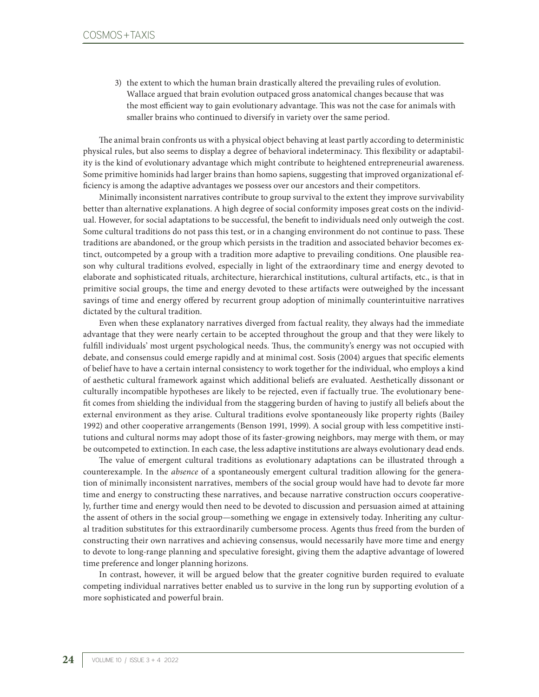3) the extent to which the human brain drastically altered the prevailing rules of evolution. Wallace argued that brain evolution outpaced gross anatomical changes because that was the most efficient way to gain evolutionary advantage. This was not the case for animals with smaller brains who continued to diversify in variety over the same period.

The animal brain confronts us with a physical object behaving at least partly according to deterministic physical rules, but also seems to display a degree of behavioral indeterminacy. This flexibility or adaptability is the kind of evolutionary advantage which might contribute to heightened entrepreneurial awareness. Some primitive hominids had larger brains than homo sapiens, suggesting that improved organizational efficiency is among the adaptive advantages we possess over our ancestors and their competitors.

Minimally inconsistent narratives contribute to group survival to the extent they improve survivability better than alternative explanations. A high degree of social conformity imposes great costs on the individual. However, for social adaptations to be successful, the benefit to individuals need only outweigh the cost. Some cultural traditions do not pass this test, or in a changing environment do not continue to pass. These traditions are abandoned, or the group which persists in the tradition and associated behavior becomes extinct, outcompeted by a group with a tradition more adaptive to prevailing conditions. One plausible reason why cultural traditions evolved, especially in light of the extraordinary time and energy devoted to elaborate and sophisticated rituals, architecture, hierarchical institutions, cultural artifacts, etc., is that in primitive social groups, the time and energy devoted to these artifacts were outweighed by the incessant savings of time and energy offered by recurrent group adoption of minimally counterintuitive narratives dictated by the cultural tradition.

Even when these explanatory narratives diverged from factual reality, they always had the immediate advantage that they were nearly certain to be accepted throughout the group and that they were likely to fulfill individuals' most urgent psychological needs. Thus, the community's energy was not occupied with debate, and consensus could emerge rapidly and at minimal cost. Sosis (2004) argues that specific elements of belief have to have a certain internal consistency to work together for the individual, who employs a kind of aesthetic cultural framework against which additional beliefs are evaluated. Aesthetically dissonant or culturally incompatible hypotheses are likely to be rejected, even if factually true. The evolutionary benefit comes from shielding the individual from the staggering burden of having to justify all beliefs about the external environment as they arise. Cultural traditions evolve spontaneously like property rights (Bailey 1992) and other cooperative arrangements (Benson 1991, 1999). A social group with less competitive institutions and cultural norms may adopt those of its faster-growing neighbors, may merge with them, or may be outcompeted to extinction. In each case, the less adaptive institutions are always evolutionary dead ends.

The value of emergent cultural traditions as evolutionary adaptations can be illustrated through a counterexample. In the *absence* of a spontaneously emergent cultural tradition allowing for the generation of minimally inconsistent narratives, members of the social group would have had to devote far more time and energy to constructing these narratives, and because narrative construction occurs cooperatively, further time and energy would then need to be devoted to discussion and persuasion aimed at attaining the assent of others in the social group—something we engage in extensively today. Inheriting any cultural tradition substitutes for this extraordinarily cumbersome process. Agents thus freed from the burden of constructing their own narratives and achieving consensus, would necessarily have more time and energy to devote to long-range planning and speculative foresight, giving them the adaptive advantage of lowered time preference and longer planning horizons.

In contrast, however, it will be argued below that the greater cognitive burden required to evaluate competing individual narratives better enabled us to survive in the long run by supporting evolution of a more sophisticated and powerful brain.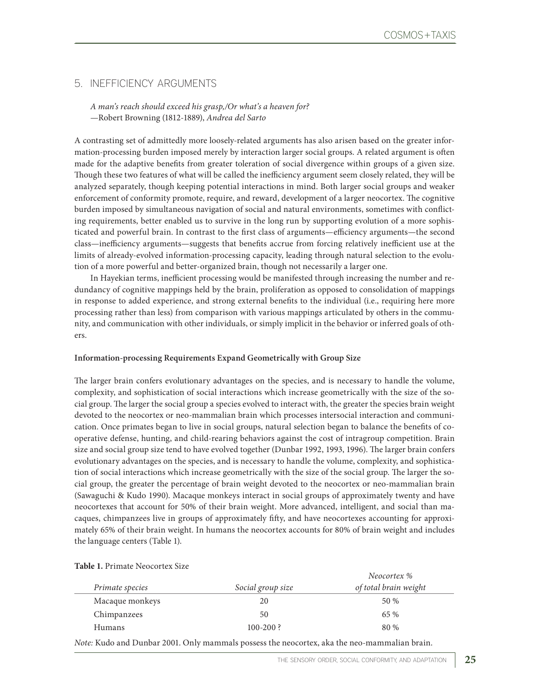# 5. INEFFICIENCY ARGUMENTS

**Table 1.** Primate Neocortex Size

*A man's reach should exceed his grasp,/Or what's a heaven for?* —Robert Browning (1812-1889), *Andrea del Sarto*

A contrasting set of admittedly more loosely-related arguments has also arisen based on the greater information-processing burden imposed merely by interaction larger social groups. A related argument is often made for the adaptive benefits from greater toleration of social divergence within groups of a given size. Though these two features of what will be called the inefficiency argument seem closely related, they will be analyzed separately, though keeping potential interactions in mind. Both larger social groups and weaker enforcement of conformity promote, require, and reward, development of a larger neocortex. The cognitive burden imposed by simultaneous navigation of social and natural environments, sometimes with conflicting requirements, better enabled us to survive in the long run by supporting evolution of a more sophisticated and powerful brain. In contrast to the first class of arguments—efficiency arguments—the second class—inefficiency arguments—suggests that benefits accrue from forcing relatively inefficient use at the limits of already-evolved information-processing capacity, leading through natural selection to the evolution of a more powerful and better-organized brain, though not necessarily a larger one.

In Hayekian terms, inefficient processing would be manifested through increasing the number and redundancy of cognitive mappings held by the brain, proliferation as opposed to consolidation of mappings in response to added experience, and strong external benefits to the individual (i.e., requiring here more processing rather than less) from comparison with various mappings articulated by others in the community, and communication with other individuals, or simply implicit in the behavior or inferred goals of others.

#### **Information-processing Requirements Expand Geometrically with Group Size**

The larger brain confers evolutionary advantages on the species, and is necessary to handle the volume, complexity, and sophistication of social interactions which increase geometrically with the size of the social group. The larger the social group a species evolved to interact with, the greater the species brain weight devoted to the neocortex or neo-mammalian brain which processes intersocial interaction and communication. Once primates began to live in social groups, natural selection began to balance the benefits of cooperative defense, hunting, and child-rearing behaviors against the cost of intragroup competition. Brain size and social group size tend to have evolved together (Dunbar 1992, 1993, 1996). The larger brain confers evolutionary advantages on the species, and is necessary to handle the volume, complexity, and sophistication of social interactions which increase geometrically with the size of the social group. The larger the social group, the greater the percentage of brain weight devoted to the neocortex or neo-mammalian brain (Sawaguchi & Kudo 1990). Macaque monkeys interact in social groups of approximately twenty and have neocortexes that account for 50% of their brain weight. More advanced, intelligent, and social than macaques, chimpanzees live in groups of approximately fifty, and have neocortexes accounting for approximately 65% of their brain weight. In humans the neocortex accounts for 80% of brain weight and includes the language centers (Table 1).

| Primate species | Social group size | Neocortex %<br>of total brain weight |
|-----------------|-------------------|--------------------------------------|
| Macaque monkeys | 20                | 50 %                                 |
| Chimpanzees     | 50                | 65 %                                 |
| <b>Humans</b>   | $100 - 200$ ?     | 80 %                                 |

*Note:* Kudo and Dunbar 2001. Only mammals possess the neocortex, aka the neo-mammalian brain.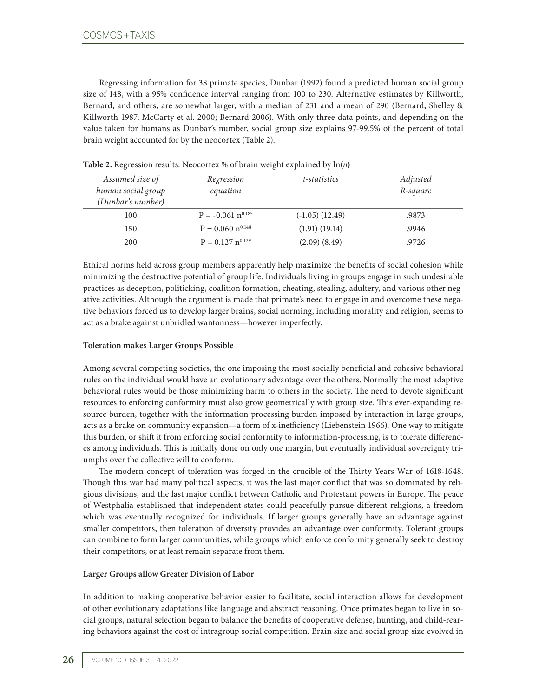Regressing information for 38 primate species, Dunbar (1992) found a predicted human social group size of 148, with a 95% confidence interval ranging from 100 to 230. Alternative estimates by Killworth, Bernard, and others, are somewhat larger, with a median of 231 and a mean of 290 (Bernard, Shelley & Killworth 1987; McCarty et al. 2000; Bernard 2006). With only three data points, and depending on the value taken for humans as Dunbar's number, social group size explains 97-99.5% of the percent of total brain weight accounted for by the neocortex (Table 2).

| Assumed size of<br>human social group<br>(Dunbar's number) | Regression<br>equation          | t-statistics        | Adjusted<br>R-square |
|------------------------------------------------------------|---------------------------------|---------------------|----------------------|
| 100                                                        | $P = -0.061$ n <sup>0.185</sup> | $(-1.05)$ $(12.49)$ | .9873                |
| 150                                                        | $P = 0.060$ n <sup>0.148</sup>  | (1.91) (19.14)      | .9946                |
| 200                                                        | $P = 0.127$ n <sup>0.129</sup>  | $(2.09)$ $(8.49)$   | .9726                |

**Table 2.** Regression results: Neocortex % of brain weight explained by ln(*n***)**

Ethical norms held across group members apparently help maximize the benefits of social cohesion while minimizing the destructive potential of group life. Individuals living in groups engage in such undesirable practices as deception, politicking, coalition formation, cheating, stealing, adultery, and various other negative activities. Although the argument is made that primate's need to engage in and overcome these negative behaviors forced us to develop larger brains, social norming, including morality and religion, seems to act as a brake against unbridled wantonness—however imperfectly.

#### **Toleration makes Larger Groups Possible**

Among several competing societies, the one imposing the most socially beneficial and cohesive behavioral rules on the individual would have an evolutionary advantage over the others. Normally the most adaptive behavioral rules would be those minimizing harm to others in the society. The need to devote significant resources to enforcing conformity must also grow geometrically with group size. This ever-expanding resource burden, together with the information processing burden imposed by interaction in large groups, acts as a brake on community expansion—a form of x-inefficiency (Liebenstein 1966). One way to mitigate this burden, or shift it from enforcing social conformity to information-processing, is to tolerate differences among individuals. This is initially done on only one margin, but eventually individual sovereignty triumphs over the collective will to conform.

The modern concept of toleration was forged in the crucible of the Thirty Years War of 1618-1648. Though this war had many political aspects, it was the last major conflict that was so dominated by religious divisions, and the last major conflict between Catholic and Protestant powers in Europe. The peace of Westphalia established that independent states could peacefully pursue different religions, a freedom which was eventually recognized for individuals. If larger groups generally have an advantage against smaller competitors, then toleration of diversity provides an advantage over conformity. Tolerant groups can combine to form larger communities, while groups which enforce conformity generally seek to destroy their competitors, or at least remain separate from them.

### **Larger Groups allow Greater Division of Labor**

In addition to making cooperative behavior easier to facilitate, social interaction allows for development of other evolutionary adaptations like language and abstract reasoning. Once primates began to live in social groups, natural selection began to balance the benefits of cooperative defense, hunting, and child-rearing behaviors against the cost of intragroup social competition. Brain size and social group size evolved in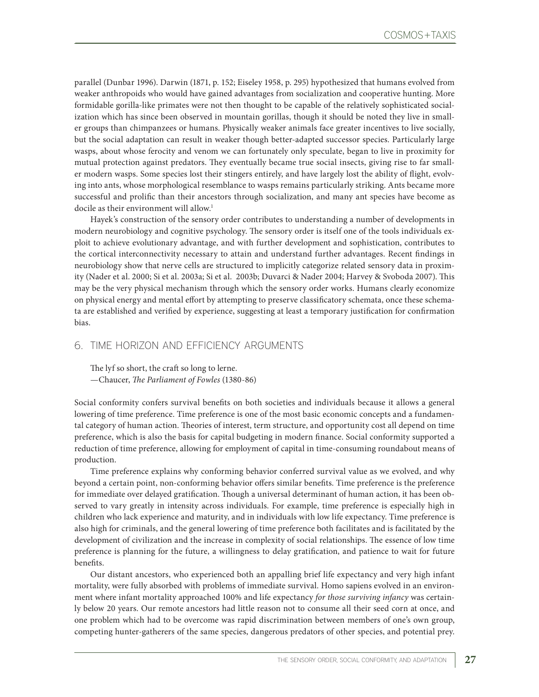parallel (Dunbar 1996). Darwin (1871, p. 152; Eiseley 1958, p. 295) hypothesized that humans evolved from weaker anthropoids who would have gained advantages from socialization and cooperative hunting. More formidable gorilla-like primates were not then thought to be capable of the relatively sophisticated socialization which has since been observed in mountain gorillas, though it should be noted they live in smaller groups than chimpanzees or humans. Physically weaker animals face greater incentives to live socially, but the social adaptation can result in weaker though better-adapted successor species. Particularly large wasps, about whose ferocity and venom we can fortunately only speculate, began to live in proximity for mutual protection against predators. They eventually became true social insects, giving rise to far smaller modern wasps. Some species lost their stingers entirely, and have largely lost the ability of flight, evolving into ants, whose morphological resemblance to wasps remains particularly striking. Ants became more successful and prolific than their ancestors through socialization, and many ant species have become as docile as their environment will allow.<sup>1</sup>

Hayek's construction of the sensory order contributes to understanding a number of developments in modern neurobiology and cognitive psychology. The sensory order is itself one of the tools individuals exploit to achieve evolutionary advantage, and with further development and sophistication, contributes to the cortical interconnectivity necessary to attain and understand further advantages. Recent findings in neurobiology show that nerve cells are structured to implicitly categorize related sensory data in proximity (Nader et al. 2000; Si et al. 2003a; Si et al. 2003b; Duvarci & Nader 2004; Harvey & Svoboda 2007). This may be the very physical mechanism through which the sensory order works. Humans clearly economize on physical energy and mental effort by attempting to preserve classificatory schemata, once these schemata are established and verified by experience, suggesting at least a temporary justification for confirmation bias.

### 6. TIME HORIZON AND EFFICIENCY ARGUMENTS

The lyf so short, the craft so long to lerne. —Chaucer, *The Parliament of Fowles* (1380-86)

Social conformity confers survival benefits on both societies and individuals because it allows a general lowering of time preference. Time preference is one of the most basic economic concepts and a fundamental category of human action. Theories of interest, term structure, and opportunity cost all depend on time preference, which is also the basis for capital budgeting in modern finance. Social conformity supported a reduction of time preference, allowing for employment of capital in time-consuming roundabout means of production.

Time preference explains why conforming behavior conferred survival value as we evolved, and why beyond a certain point, non-conforming behavior offers similar benefits. Time preference is the preference for immediate over delayed gratification. Though a universal determinant of human action, it has been observed to vary greatly in intensity across individuals. For example, time preference is especially high in children who lack experience and maturity, and in individuals with low life expectancy. Time preference is also high for criminals, and the general lowering of time preference both facilitates and is facilitated by the development of civilization and the increase in complexity of social relationships. The essence of low time preference is planning for the future, a willingness to delay gratification, and patience to wait for future benefits.

Our distant ancestors, who experienced both an appalling brief life expectancy and very high infant mortality, were fully absorbed with problems of immediate survival. Homo sapiens evolved in an environment where infant mortality approached 100% and life expectancy *for those surviving infancy* was certainly below 20 years. Our remote ancestors had little reason not to consume all their seed corn at once, and one problem which had to be overcome was rapid discrimination between members of one's own group, competing hunter-gatherers of the same species, dangerous predators of other species, and potential prey.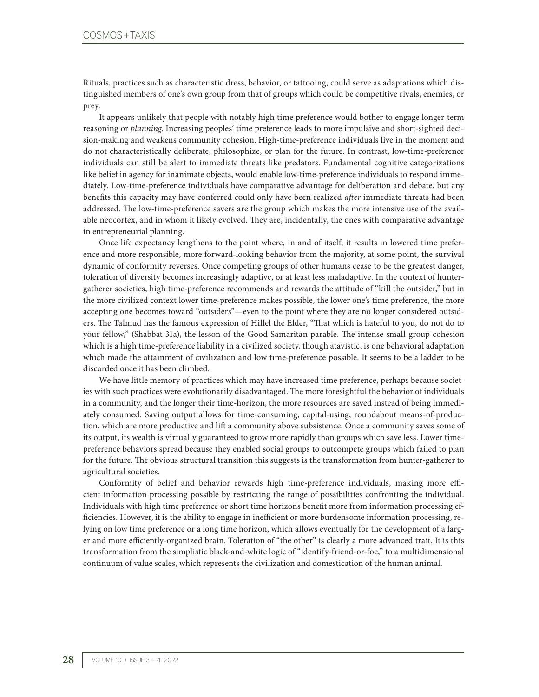Rituals, practices such as characteristic dress, behavior, or tattooing, could serve as adaptations which distinguished members of one's own group from that of groups which could be competitive rivals, enemies, or prey.

It appears unlikely that people with notably high time preference would bother to engage longer-term reasoning or *planning*. Increasing peoples' time preference leads to more impulsive and short-sighted decision-making and weakens community cohesion. High-time-preference individuals live in the moment and do not characteristically deliberate, philosophize, or plan for the future. In contrast, low-time-preference individuals can still be alert to immediate threats like predators. Fundamental cognitive categorizations like belief in agency for inanimate objects, would enable low-time-preference individuals to respond immediately. Low-time-preference individuals have comparative advantage for deliberation and debate, but any benefits this capacity may have conferred could only have been realized *after* immediate threats had been addressed. The low-time-preference savers are the group which makes the more intensive use of the available neocortex, and in whom it likely evolved. They are, incidentally, the ones with comparative advantage in entrepreneurial planning.

Once life expectancy lengthens to the point where, in and of itself, it results in lowered time preference and more responsible, more forward-looking behavior from the majority, at some point, the survival dynamic of conformity reverses. Once competing groups of other humans cease to be the greatest danger, toleration of diversity becomes increasingly adaptive, or at least less maladaptive. In the context of huntergatherer societies, high time-preference recommends and rewards the attitude of "kill the outsider," but in the more civilized context lower time-preference makes possible, the lower one's time preference, the more accepting one becomes toward "outsiders"—even to the point where they are no longer considered outsiders. The Talmud has the famous expression of Hillel the Elder, "That which is hateful to you, do not do to your fellow," (Shabbat 31a), the lesson of the Good Samaritan parable. The intense small-group cohesion which is a high time-preference liability in a civilized society, though atavistic, is one behavioral adaptation which made the attainment of civilization and low time-preference possible. It seems to be a ladder to be discarded once it has been climbed.

We have little memory of practices which may have increased time preference, perhaps because societies with such practices were evolutionarily disadvantaged. The more foresightful the behavior of individuals in a community, and the longer their time-horizon, the more resources are saved instead of being immediately consumed. Saving output allows for time-consuming, capital-using, roundabout means-of-production, which are more productive and lift a community above subsistence. Once a community saves some of its output, its wealth is virtually guaranteed to grow more rapidly than groups which save less. Lower timepreference behaviors spread because they enabled social groups to outcompete groups which failed to plan for the future. The obvious structural transition this suggests is the transformation from hunter-gatherer to agricultural societies.

Conformity of belief and behavior rewards high time-preference individuals, making more efficient information processing possible by restricting the range of possibilities confronting the individual. Individuals with high time preference or short time horizons benefit more from information processing efficiencies. However, it is the ability to engage in inefficient or more burdensome information processing, relying on low time preference or a long time horizon, which allows eventually for the development of a larger and more efficiently-organized brain. Toleration of "the other" is clearly a more advanced trait. It is this transformation from the simplistic black-and-white logic of "identify-friend-or-foe," to a multidimensional continuum of value scales, which represents the civilization and domestication of the human animal.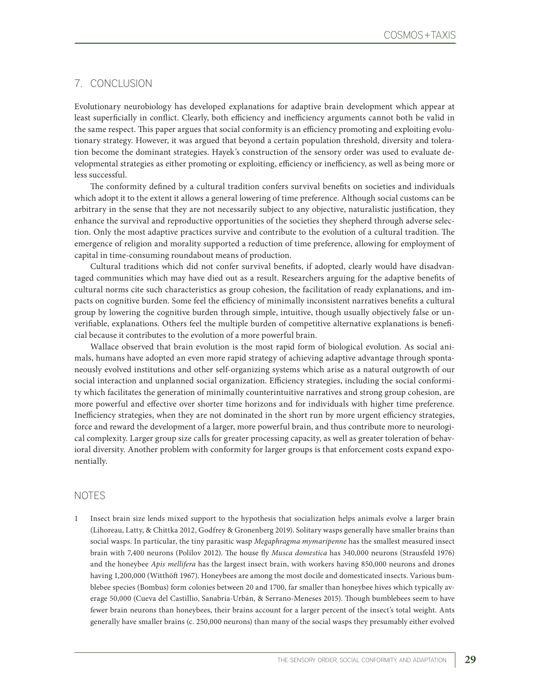## 7. CONCLUSION

Evolutionary neurobiology has developed explanations for adaptive brain development which appear at least superficially in conflict. Clearly, both efficiency and inefficiency arguments cannot both be valid in the same respect. This paper argues that social conformity is an efficiency promoting and exploiting evolutionary strategy. However, it was argued that beyond a certain population threshold, diversity and toleration become the dominant strategies. Hayek's construction of the sensory order was used to evaluate developmental strategies as either promoting or exploiting, efficiency or inefficiency, as well as being more or less successful.

The conformity defined by a cultural tradition confers survival benefits on societies and individuals which adopt it to the extent it allows a general lowering of time preference. Although social customs can be arbitrary in the sense that they are not necessarily subject to any objective, naturalistic justification, they enhance the survival and reproductive opportunities of the societies they shepherd through adverse selection. Only the most adaptive practices survive and contribute to the evolution of a cultural tradition. The emergence of religion and morality supported a reduction of time preference, allowing for employment of capital in time-consuming roundabout means of production.

Cultural traditions which did not confer survival benefits, if adopted, clearly would have disadvantaged communities which may have died out as a result. Researchers arguing for the adaptive benefits of cultural norms cite such characteristics as group cohesion, the facilitation of ready explanations, and impacts on cognitive burden. Some feel the efficiency of minimally inconsistent narratives benefits a cultural group by lowering the cognitive burden through simple, intuitive, though usually objectively false or unverifiable, explanations. Others feel the multiple burden of competitive alternative explanations is beneficial because it contributes to the evolution of a more powerful brain.

Wallace observed that brain evolution is the most rapid form of biological evolution. As social animals, humans have adopted an even more rapid strategy of achieving adaptive advantage through spontaneously evolved institutions and other self-organizing systems which arise as a natural outgrowth of our social interaction and unplanned social organization. Efficiency strategies, including the social conformity which facilitates the generation of minimally counterintuitive narratives and strong group cohesion, are more powerful and effective over shorter time horizons and for individuals with higher time preference. Inefficiency strategies, when they are not dominated in the short run by more urgent efficiency strategies, force and reward the development of a larger, more powerful brain, and thus contribute more to neurological complexity. Larger group size calls for greater processing capacity, as well as greater toleration of behavioral diversity. Another problem with conformity for larger groups is that enforcement costs expand exponentially.

#### NOTES

1 Insect brain size lends mixed support to the hypothesis that socialization helps animals evolve a larger brain (Lihoreau, Latty, & Chittka 2012, Godfrey & Gronenberg 2019). Solitary wasps generally have smaller brains than social wasps. In particular, the tiny parasitic wasp *Megaphragma mymaripenne* has the smallest measured insect brain with 7,400 neurons (Polilov 2012). The house fly *Musca domestica* has 340,000 neurons (Strausfeld 1976) and the honeybee *Apis mellifera* has the largest insect brain, with workers having 850,000 neurons and drones having 1,200,000 (Witthöft 1967). Honeybees are among the most docile and domesticated insects. Various bumblebee species (Bombus) form colonies between 20 and 1700, far smaller than honeybee hives which typically average 50,000 (Cueva del Castillio, Sanabria-Urbán, & Serrano-Meneses 2015). Though bumblebees seem to have fewer brain neurons than honeybees, their brains account for a larger percent of the insect's total weight. Ants generally have smaller brains (c. 250,000 neurons) than many of the social wasps they presumably either evolved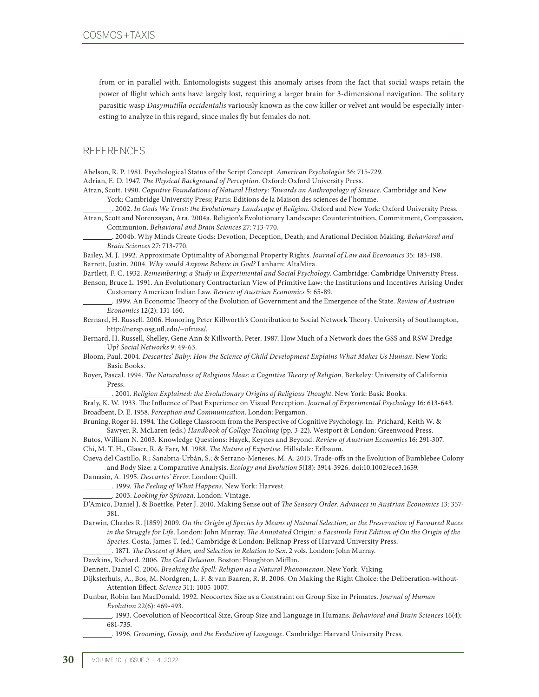from or in parallel with. Entomologists suggest this anomaly arises from the fact that social wasps retain the power of flight which ants have largely lost, requiring a larger brain for 3-dimensional navigation. The solitary parasitic wasp *Dasymutilla occidentalis* variously known as the cow killer or velvet ant would be especially interesting to analyze in this regard, since males fly but females do not.

#### **REFERENCES**

Abelson, R. P. 1981. Psychological Status of the Script Concept. *American Psychologist* 36: 715-729. Adrian, E. D. 1947. *The Physical Background of Perception.* Oxford: Oxford University Press.

Atran, Scott. 1990. *Cognitive Foundations of Natural History: Towards an Anthropology of Science*. Cambridge and New York: Cambridge University Press; Paris: Editions de la Maison des sciences de l'homme.

 . 2002. *In Gods We Trust: the Evolutionary Landscape of Religion*. Oxford and New York: Oxford University Press. Atran, Scott and Norenzayan, Ara. 2004a. Religion's Evolutionary Landscape: Counterintuition, Commitment, Compassion,

Communion. *Behavioral and Brain Sciences* 27: 713-770.

 . 2004b. Why Minds Create Gods: Devotion, Deception, Death, and Arational Decision Making. *Behavioral and Brain Sciences* 27: 713-770.

Bailey, M. J. 1992. Approximate Optimality of Aboriginal Property Rights. *Journal of Law and Economics* 35: 183-198. Barrett, Justin. 2004. *Why would Anyone Believe in God?* Lanham: AltaMira.

Bartlett, F. C. 1932. *Remembering: a Study in Experimental and Social Psychology*. Cambridge: Cambridge University Press. Benson, Bruce L. 1991. An Evolutionary Contractarian View of Primitive Law: the Institutions and Incentives Arising Under Customary American Indian Law. *Review of Austrian Economics* 5: 65-89.

 . 1999. An Economic Theory of the Evolution of Government and the Emergence of the State. *Review of Austrian Economics* 12(2): 131-160.

Bernard, H. Russell. 2006. Honoring Peter Killworth's Contribution to Social Network Theory. University of Southampton, http://nersp.osg.ufl.edu/~ufruss/.

Bernard, H. Russell, Shelley, Gene Ann & Killworth, Peter. 1987. How Much of a Network does the GSS and RSW Dredge Up? *Social Networks* 9: 49-63.

Bloom, Paul. 2004. *Descartes' Baby: How the Science of Child Development Explains What Makes Us Human*. New York: Basic Books.

Boyer, Pascal. 1994. *The Naturalness of Religious Ideas: a Cognitive Theory of Religion*. Berkeley: University of California Press.

. 2001. *Religion Explained: the Evolutionary Origins of Religious Thought*. New York: Basic Books.

Braly, K. W. 1933. The Influence of Past Experience on Visual Perception. *Journal of Experimental Psychology* 16: 613-643. Broadbent, D. E. 1958. *Perception and Communication*. London: Pergamon.

Bruning, Roger H. 1994. The College Classroom from the Perspective of Cognitive Psychology. In: Prichard, Keith W. & Sawyer, R. McLaren (eds.) *Handbook of College Teaching* (pp. 3-22). Westport & London: Greenwood Press.

Butos, William N. 2003. Knowledge Questions: Hayek, Keynes and Beyond. *Review of Austrian Economics* 16: 291-307. Chi, M. T. H., Glaser, R. & Farr, M. 1988. *The Nature of Expertise*. Hillsdale: Erlbaum.

Cueva del Castillo, R.; Sanabria-Urbán, S.; & Serrano-Meneses, M. A. 2015. Trade-offs in the Evolution of Bumblebee Colony and Body Size: a Comparative Analysis. *Ecology and Evolution* 5(18): 3914-3926. doi:10.1002/ece3.1659.

Damasio, A. 1995. *Descartes' Error*. London: Quill.

. 1999. *The Feeling of What Happens*. New York: Harvest.

. 2003. *Looking for Spinoza*. London: Vintage.

D'Amico, Daniel J. & Boettke, Peter J. 2010. Making Sense out of *The Sensory Order*. *Advances in Austrian Economics* 13: 357- 381.

Darwin, Charles R. [1859] 2009. *On the Origin of Species by Means of Natural Selection, or the Preservation of Favoured Races in the Struggle for Life*. London: John Murray. *The Annotated* Origin*: a Facsimile First Edition of On the Origin of the Species*. Costa, James T. (ed.) Cambridge & London: Belknap Press of Harvard University Press.

. 1871. *The Descent of Man, and Selection in Relation to Sex*. 2 vols. London: John Murray.

Dawkins, Richard. 2006. *The God Delusion*. Boston: Houghton Mifflin.

Dennett, Daniel C. 2006. *Breaking the Spell: Religion as a Natural Phenomenon*. New York: Viking.

Dijksterhuis, A., Bos, M. Nordgren, L. F. & van Baaren, R. B. 2006. On Making the Right Choice: the Deliberation-without-Attention Effect. *Science* 311: 1005-1007.

Dunbar, Robin Ian MacDonald. 1992. Neocortex Size as a Constraint on Group Size in Primates. *Journal of Human Evolution* 22(6): 469-493.

 . 1993. Coevolution of Neocortical Size, Group Size and Language in Humans. *Behavioral and Brain Sciences* 16(4): 681-735.

. 1996. *Grooming, Gossip, and the Evolution of Language*. Cambridge: Harvard University Press.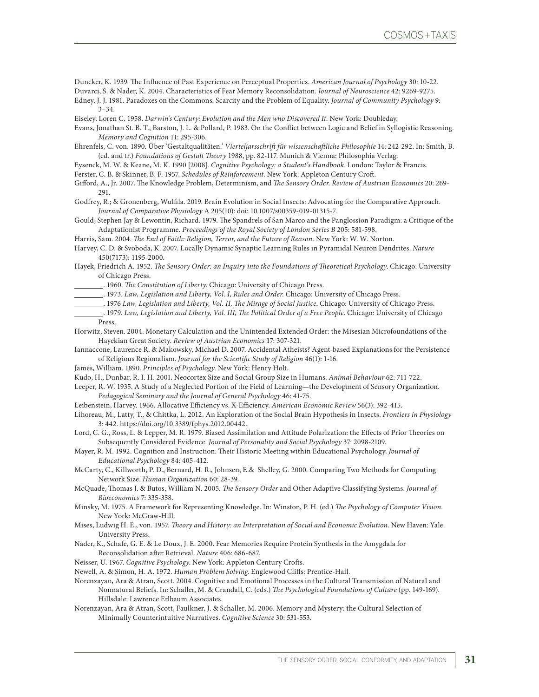Duncker, K. 1939. The Influence of Past Experience on Perceptual Properties. *American Journal of Psychology* 30: 10-22.

Duvarci, S. & Nader, K. 2004. Characteristics of Fear Memory Reconsolidation. *Journal of Neuroscience* 42: 9269-9275.

- Edney, J. J. 1981. Paradoxes on the Commons: Scarcity and the Problem of Equality. *Journal of Community Psychology* 9:  $3 - 34.$
- Eiseley, Loren C. 1958. *Darwin's Century: Evolution and the Men who Discovered It*. New York: Doubleday.
- Evans, Jonathan St. B. T., Barston, J. L. & Pollard, P. 1983. On the Conflict between Logic and Belief in Syllogistic Reasoning. *Memory and Cognition* 11: 295-306.
- Ehrenfels, C. von. 1890. Über 'Gestaltqualitäten.' *Vierteljarsschrift für wissenschaftliche Philosophie* 14: 242-292. In: Smith, B. (ed. and tr.) *Foundations of Gestalt Theory* 1988, pp. 82-117. Munich & Vienna: Philosophia Verlag.
- Eysenck, M. W. & Keane, M. K. 1990 [2008]. *Cognitive Psychology: a Student's Handbook*. London: Taylor & Francis.
- Ferster, C. B. & Skinner, B. F. 1957. *Schedules of Reinforcement*. New York: Appleton Century Croft.
- Gifford, A., Jr. 2007. The Knowledge Problem, Determinism, and *The Sensory Order*. *Review of Austrian Economics* 20: 269- 291.
- Godfrey, R.; & Gronenberg, Wulfila. 2019. Brain Evolution in Social Insects: Advocating for the Comparative Approach. *Journal of Comparative Physiology* A 205(10): doi: 10.1007/s00359-019-01315-7.
- Gould, Stephen Jay & Lewontin, Richard. 1979. The Spandrels of San Marco and the Panglossion Paradigm: a Critique of the Adaptationist Programme. *Proceedings of the Royal Society of London Series B* 205: 581-598.
- Harris, Sam. 2004. *The End of Faith: Religion, Terror, and the Future of Reason*. New York: W. W. Norton.

Harvey, C. D. & Svoboda, K. 2007. Locally Dynamic Synaptic Learning Rules in Pyramidal Neuron Dendrites. *Nature* 450(7173): 1195-2000.

- Hayek, Friedrich A. 1952. *The Sensory Order: an Inquiry into the Foundations of Theoretical Psychology*. Chicago: University of Chicago Press.
- . 1960. *The Constitution of Liberty*. Chicago: University of Chicago Press.
- . 1973. *Law, Legislation and Liberty, Vol. I, Rules and Order*. Chicago: University of Chicago Press.
- . 1976 *Law, Legislation and Liberty, Vol. II, The Mirage of Social Justice*. Chicago: University of Chicago Press.
- . 1979. *Law, Legislation and Liberty, Vol. III, The Political Order of a Free People*. Chicago: University of Chicago Press.
- Horwitz, Steven. 2004. Monetary Calculation and the Unintended Extended Order: the Misesian Microfoundations of the Hayekian Great Society. *Review of Austrian Economics* 17: 307-321.
- Iannaccone, Laurence R. & Makowsky, Michael D. 2007. Accidental Atheists? Agent-based Explanations for the Persistence of Religious Regionalism. *Journal for the Scientific Study of Religion* 46(1): 1-16.
- James, William. 1890. *Principles of Psychology*. New York: Henry Holt.
- Kudo, H., Dunbar, R. I. H. 2001. Neocortex Size and Social Group Size in Humans. *Animal Behaviour* 62: 711-722.
- Leeper, R. W. 1935. A Study of a Neglected Portion of the Field of Learning—the Development of Sensory Organization. *Pedagogical Seminary and the Journal of General Psychology* 46: 41-75.
- Leibenstein, Harvey. 1966. Allocative Efficiency vs. X-Efficiency. *American Economic Review* 56(3): 392-415.
- Lihoreau, M., Latty, T., & Chittka, L. 2012. An Exploration of the Social Brain Hypothesis in Insects. *Frontiers in Physiology*  3: 442. https://doi.org/10.3389/fphys.2012.00442.
- Lord, C. G., Ross, L. & Lepper, M. R. 1979. Biased Assimilation and Attitude Polarization: the Effects of Prior Theories on Subsequently Considered Evidence. *Journal of Personality and Social Psychology* 37: 2098-2109.
- Mayer, R. M. 1992. Cognition and Instruction: Their Historic Meeting within Educational Psychology. *Journal of Educational Psychology* 84: 405-412.
- McCarty, C., Killworth, P. D., Bernard, H. R., Johnsen, E.& Shelley, G. 2000. Comparing Two Methods for Computing Network Size. *Human Organization* 60: 28-39.
- McQuade, Thomas J. & Butos, William N. 2005. *The Sensory Order* and Other Adaptive Classifying Systems. *Journal of Bioeconomics* 7: 335-358.
- Minsky, M. 1975. A Framework for Representing Knowledge. In: Winston, P. H. (ed.) *The Psychology of Computer Vision*. New York: McGraw-Hill.
- Mises, Ludwig H. E., von. 1957. *Theory and History: an Interpretation of Social and Economic Evolution*. New Haven: Yale University Press.
- Nader, K., Schafe, G. E. & Le Doux, J. E. 2000. Fear Memories Require Protein Synthesis in the Amygdala for Reconsolidation after Retrieval. *Nature* 406: 686-687.
- Neisser, U. 1967. *Cognitive Psychology*. New York: Appleton Century Crofts.
- Newell, A. & Simon, H. A. 1972. *Human Problem Solving*. Englewood Cliffs: Prentice-Hall.
- Norenzayan, Ara & Atran, Scott. 2004. Cognitive and Emotional Processes in the Cultural Transmission of Natural and Nonnatural Beliefs. In: Schaller, M. & Crandall, C. (eds.) *The Psychological Foundations of Culture* (pp. 149-169). Hillsdale: Lawrence Erlbaum Associates.
- Norenzayan, Ara & Atran, Scott, Faulkner, J. & Schaller, M. 2006. Memory and Mystery: the Cultural Selection of Minimally Counterintuitive Narratives. *Cognitive Science* 30: 531-553.